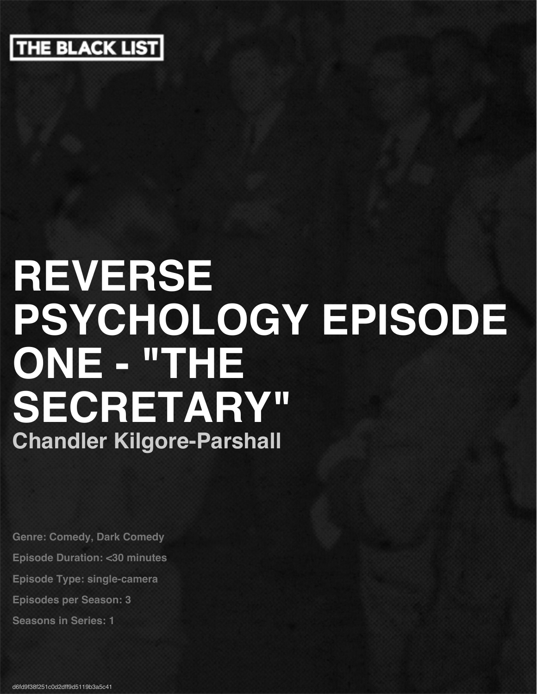

# **REVERSE PSYCHOLOGY EPISODE ONE - "THE SECRETARY" Chandler Kilgore-Parshall**

**Genre: Comedy, Dark Comedy Episode Duration: <30 minutes Episode Type: single-camera Episodes per Season: 3 Seasons in Series: 1**

d6fd9f38f251c0d2dff9d5119b3a5c41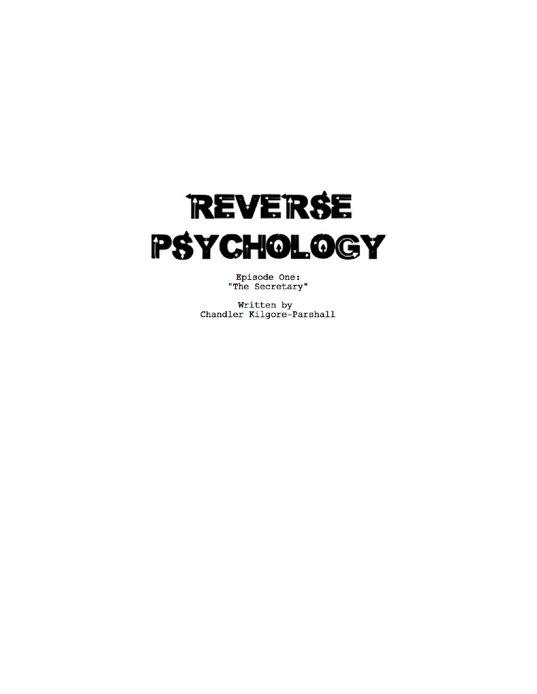

Episode One:<br>"The Secretary"

Written by Chandler Kilgore-Parshall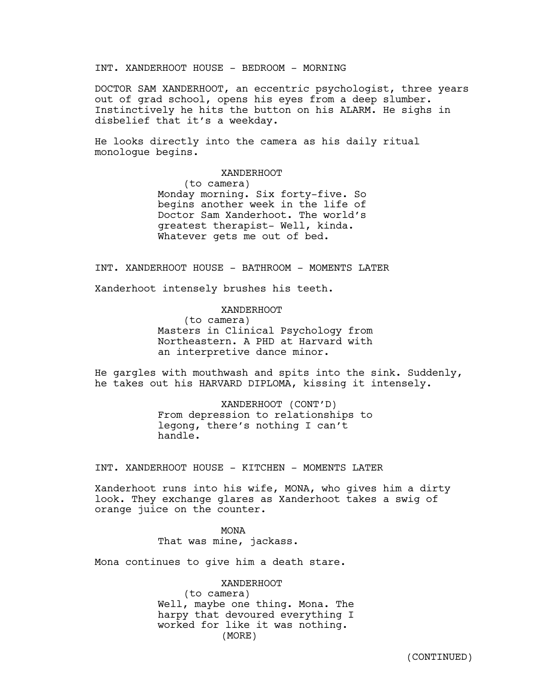INT. XANDERHOOT HOUSE - BEDROOM - MORNING

DOCTOR SAM XANDERHOOT, an eccentric psychologist, three years out of grad school, opens his eyes from a deep slumber. Instinctively he hits the button on his ALARM. He sighs in disbelief that it's a weekday.

He looks directly into the camera as his daily ritual monologue begins.

> XANDERHOOT (to camera) Monday morning. Six forty-five. So begins another week in the life of Doctor Sam Xanderhoot. The world's greatest therapist- Well, kinda. Whatever gets me out of bed.

INT. XANDERHOOT HOUSE - BATHROOM - MOMENTS LATER

Xanderhoot intensely brushes his teeth.

XANDERHOOT (to camera) Masters in Clinical Psychology from Northeastern. A PHD at Harvard with an interpretive dance minor.

He gargles with mouthwash and spits into the sink. Suddenly, he takes out his HARVARD DIPLOMA, kissing it intensely.

> XANDERHOOT (CONT'D) From depression to relationships to legong, there's nothing I can't handle.

INT. XANDERHOOT HOUSE - KITCHEN - MOMENTS LATER

Xanderhoot runs into his wife, MONA, who gives him a dirty look. They exchange glares as Xanderhoot takes a swig of orange juice on the counter.

> MONA That was mine, jackass.

Mona continues to give him a death stare.

XANDERHOOT

(to camera) Well, maybe one thing. Mona. The harpy that devoured everything I worked for like it was nothing. (MORE)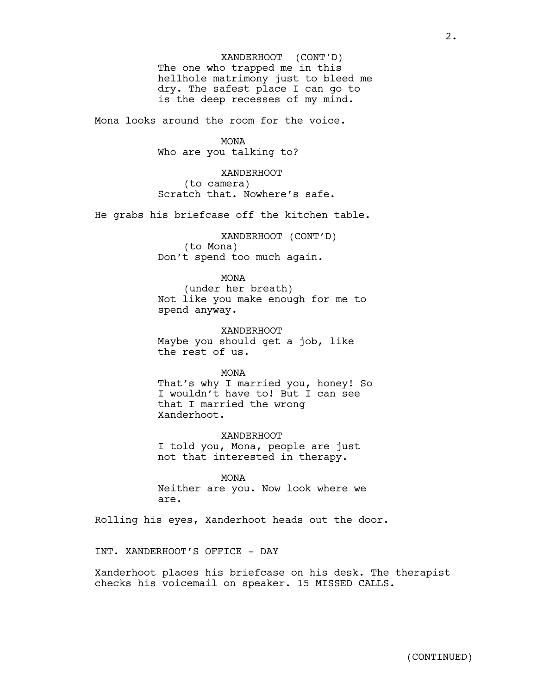The one who trapped me in this hellhole matrimony just to bleed me dry. The safest place I can go to is the deep recesses of my mind. XANDERHOOT (CONT'D)

Mona looks around the room for the voice.

MONA

Who are you talking to?

XANDERHOOT (to camera) Scratch that. Nowhere's safe.

He grabs his briefcase off the kitchen table.

XANDERHOOT (CONT'D) (to Mona) Don't spend too much again.

> MONA (under her breath)

Not like you make enough for me to spend anyway.

XANDERHOOT Maybe you should get a job, like the rest of us.

MONA

That's why I married you, honey! So I wouldn't have to! But I can see that I married the wrong Xanderhoot.

XANDERHOOT I told you, Mona, people are just not that interested in therapy.

MONA Neither are you. Now look where we are.

Rolling his eyes, Xanderhoot heads out the door.

INT. XANDERHOOT'S OFFICE - DAY

Xanderhoot places his briefcase on his desk. The therapist checks his voicemail on speaker. 15 MISSED CALLS.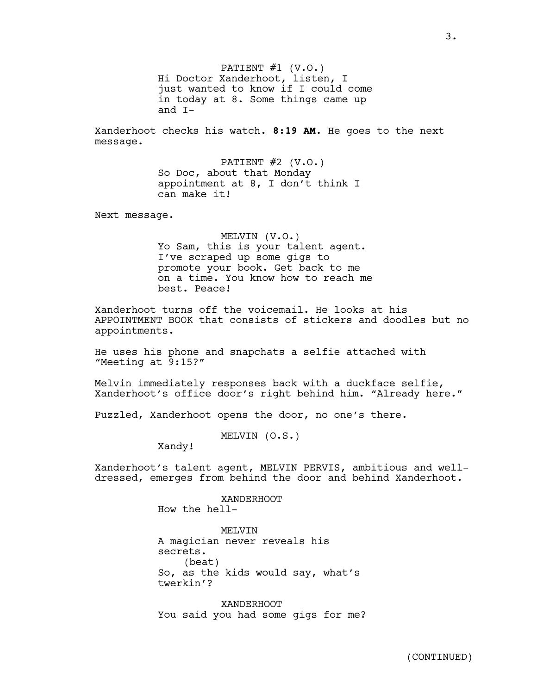PATIENT  $#1$  (V.O.) Hi Doctor Xanderhoot, listen, I just wanted to know if I could come in today at 8. Some things came up and I-

Xanderhoot checks his watch. **8:19 AM.** He goes to the next message.

> PATIENT  $#2$  (V.O.) So Doc, about that Monday appointment at 8, I don't think I can make it!

Next message.

MELVIN (V.O.) Yo Sam, this is your talent agent. I've scraped up some gigs to promote your book. Get back to me on a time. You know how to reach me best. Peace!

Xanderhoot turns off the voicemail. He looks at his APPOINTMENT BOOK that consists of stickers and doodles but no appointments.

He uses his phone and snapchats a selfie attached with "Meeting at 9:15?"

Melvin immediately responses back with a duckface selfie, Xanderhoot's office door's right behind him. "Already here."

Puzzled, Xanderhoot opens the door, no one's there.

MELVIN (O.S.)

Xandy!

Xanderhoot's talent agent, MELVIN PERVIS, ambitious and welldressed, emerges from behind the door and behind Xanderhoot.

> XANDERHOOT How the hell-

MELVIN A magician never reveals his secrets. (beat) So, as the kids would say, what's twerkin'?

XANDERHOOT You said you had some gigs for me?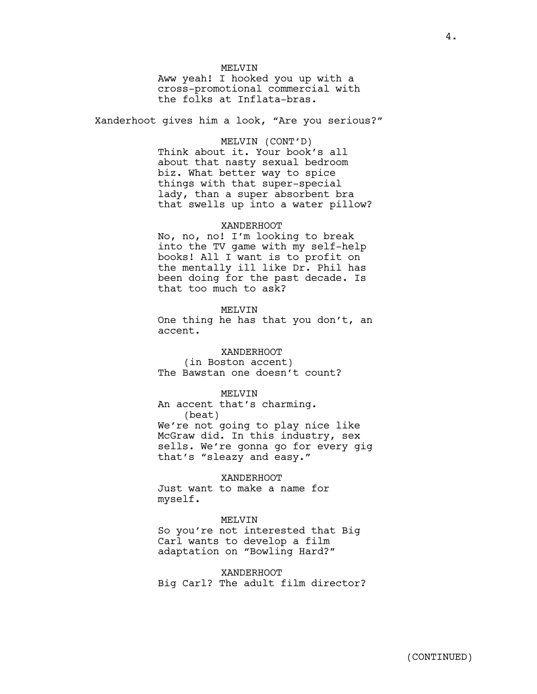#### MELVIN

Aww yeah! I hooked you up with a cross-promotional commercial with the folks at Inflata-bras.

Xanderhoot gives him a look, "Are you serious?"

#### MELVIN (CONT'D)

Think about it. Your book's all about that nasty sexual bedroom biz. What better way to spice things with that super-special lady, than a super absorbent bra that swells up into a water pillow?

#### XANDERHOOT

No, no, no! I'm looking to break into the TV game with my self-help books! All I want is to profit on the mentally ill like Dr. Phil has been doing for the past decade. Is that too much to ask?

#### MELVIN

One thing he has that you don't, an accent.

XANDERHOOT (in Boston accent) The Bawstan one doesn't count?

#### MELVIN

An accent that's charming. (beat) We're not going to play nice like McGraw did. In this industry, sex sells. We're gonna go for every gig that's "sleazy and easy."

#### XANDERHOOT

Just want to make a name for myself.

#### MELVIN

So you're not interested that Big Carl wants to develop a film adaptation on "Bowling Hard?"

XANDERHOOT Big Carl? The adult film director?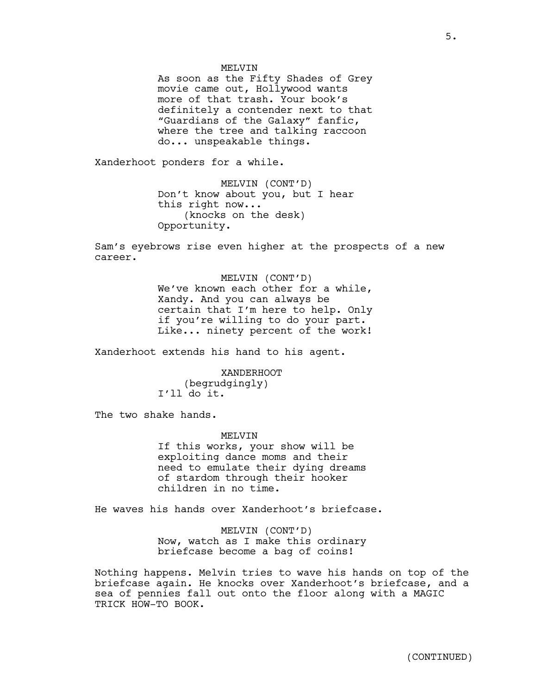#### **MELVIN**

As soon as the Fifty Shades of Grey movie came out, Hollywood wants more of that trash. Your book's definitely a contender next to that "Guardians of the Galaxy" fanfic, where the tree and talking raccoon do... unspeakable things.

Xanderhoot ponders for a while.

MELVIN (CONT'D) Don't know about you, but I hear this right now... (knocks on the desk) Opportunity.

Sam's eyebrows rise even higher at the prospects of a new career.

> MELVIN (CONT'D) We've known each other for a while, Xandy. And you can always be certain that I'm here to help. Only if you're willing to do your part. Like... ninety percent of the work!

Xanderhoot extends his hand to his agent.

XANDERHOOT (begrudgingly) I'll do it.

The two shake hands.

**MELVIN** 

If this works, your show will be exploiting dance moms and their need to emulate their dying dreams of stardom through their hooker children in no time.

He waves his hands over Xanderhoot's briefcase.

MELVIN (CONT'D) Now, watch as I make this ordinary briefcase become a bag of coins!

Nothing happens. Melvin tries to wave his hands on top of the briefcase again. He knocks over Xanderhoot's briefcase, and a sea of pennies fall out onto the floor along with a MAGIC TRICK HOW-TO BOOK.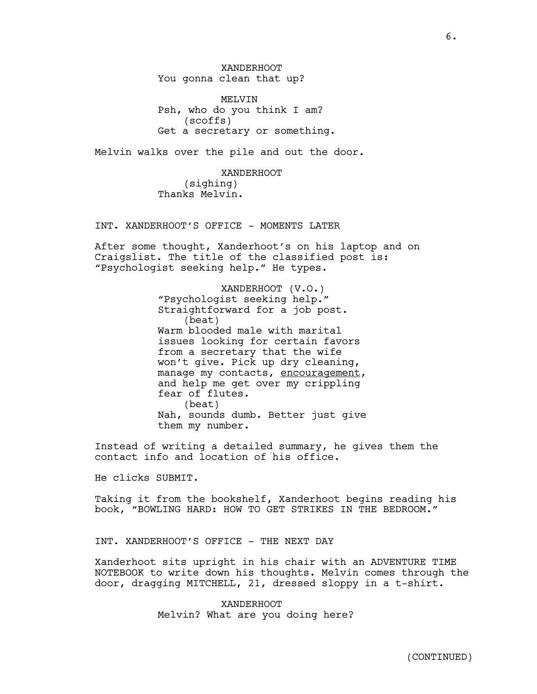XANDERHOOT You gonna clean that up?

**MELVIN** Psh, who do you think I am? (scoffs) Get a secretary or something.

Melvin walks over the pile and out the door.

XANDERHOOT (sighing) Thanks Melvin.

INT. XANDERHOOT'S OFFICE - MOMENTS LATER

After some thought, Xanderhoot's on his laptop and on Craigslist. The title of the classified post is: "Psychologist seeking help." He types.

> XANDERHOOT (V.O.) "Psychologist seeking help." Straightforward for a job post. (beat) Warm blooded male with marital issues looking for certain favors from a secretary that the wife won't give. Pick up dry cleaning, manage my contacts, encouragement, and help me get over my crippling fear of flutes. (beat) Nah, sounds dumb. Better just give them my number.

Instead of writing a detailed summary, he gives them the contact info and location of his office.

He clicks SUBMIT.

Taking it from the bookshelf, Xanderhoot begins reading his book, "BOWLING HARD: HOW TO GET STRIKES IN THE BEDROOM."

INT. XANDERHOOT'S OFFICE - THE NEXT DAY

Xanderhoot sits upright in his chair with an ADVENTURE TIME NOTEBOOK to write down his thoughts. Melvin comes through the door, dragging MITCHELL, 21, dressed sloppy in a t-shirt.

> XANDERHOOT Melvin? What are you doing here?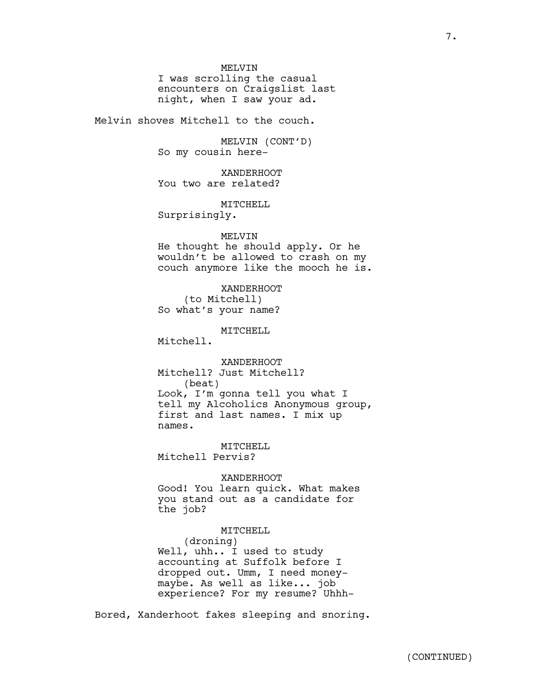**MELVIN** 

I was scrolling the casual encounters on Craigslist last night, when I saw your ad.

Melvin shoves Mitchell to the couch.

MELVIN (CONT'D) So my cousin here-

XANDERHOOT You two are related?

MITCHELL

Surprisingly.

#### MELVIN

He thought he should apply. Or he wouldn't be allowed to crash on my couch anymore like the mooch he is.

XANDERHOOT (to Mitchell) So what's your name?

MITCHELL

Mitchell.

XANDERHOOT Mitchell? Just Mitchell? (beat) Look, I'm gonna tell you what I tell my Alcoholics Anonymous group, first and last names. I mix up names.

MITCHELL Mitchell Pervis?

XANDERHOOT

Good! You learn quick. What makes you stand out as a candidate for the job?

#### MITCHELL

(droning) Well, uhh.. I used to study accounting at Suffolk before I dropped out. Umm, I need moneymaybe. As well as like... job experience? For my resume? Uhhh-

Bored, Xanderhoot fakes sleeping and snoring.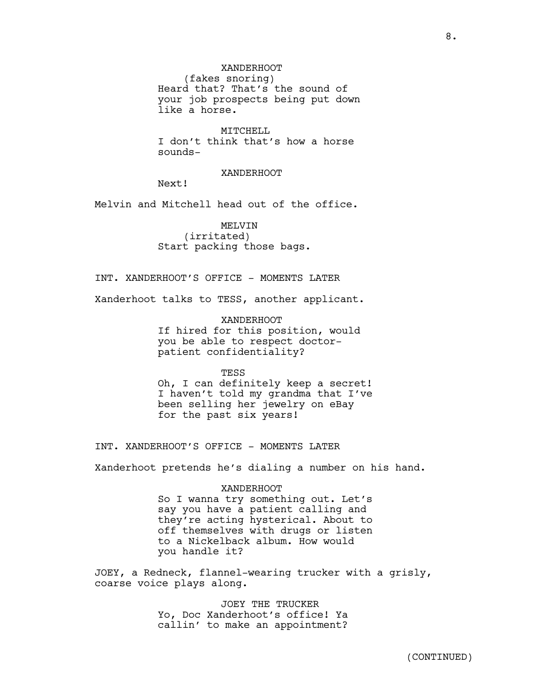MITCHELL I don't think that's how a horse sounds-

#### XANDERHOOT

Next!

Melvin and Mitchell head out of the office.

MELVIN (irritated) Start packing those bags.

INT. XANDERHOOT'S OFFICE - MOMENTS LATER

Xanderhoot talks to TESS, another applicant.

XANDERHOOT If hired for this position, would you be able to respect doctorpatient confidentiality?

TESS

Oh, I can definitely keep a secret! I haven't told my grandma that I've been selling her jewelry on eBay for the past six years!

INT. XANDERHOOT'S OFFICE - MOMENTS LATER

Xanderhoot pretends he's dialing a number on his hand.

#### XANDERHOOT

So I wanna try something out. Let's say you have a patient calling and they're acting hysterical. About to off themselves with drugs or listen to a Nickelback album. How would you handle it?

JOEY, a Redneck, flannel-wearing trucker with a grisly, coarse voice plays along.

> JOEY THE TRUCKER Yo, Doc Xanderhoot's office! Ya callin' to make an appointment?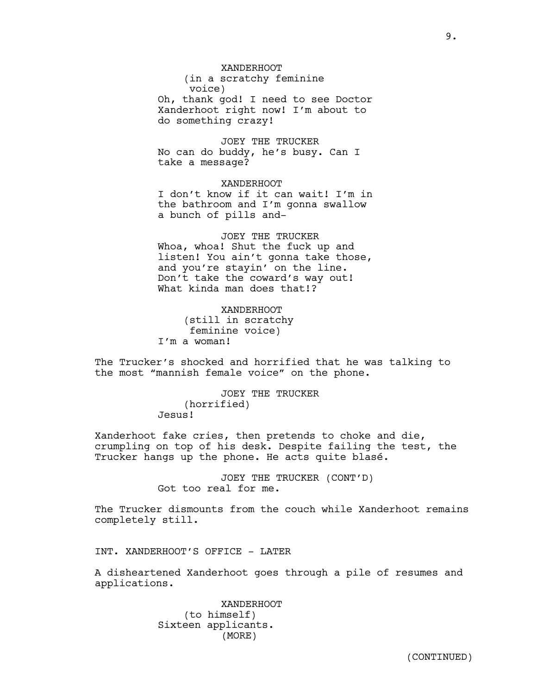XANDERHOOT (in a scratchy feminine voice) Oh, thank god! I need to see Doctor Xanderhoot right now! I'm about to do something crazy!

JOEY THE TRUCKER No can do buddy, he's busy. Can I take a message?

XANDERHOOT I don't know if it can wait! I'm in the bathroom and I'm gonna swallow a bunch of pills and-

JOEY THE TRUCKER Whoa, whoa! Shut the fuck up and listen! You ain't gonna take those, and you're stayin' on the line. Don't take the coward's way out! What kinda man does that!?

XANDERHOOT (still in scratchy feminine voice) I'm a woman!

The Trucker's shocked and horrified that he was talking to the most "mannish female voice" on the phone.

> JOEY THE TRUCKER (horrified) Jesus!

Xanderhoot fake cries, then pretends to choke and die, crumpling on top of his desk. Despite failing the test, the Trucker hangs up the phone. He acts quite blasé.

> JOEY THE TRUCKER (CONT'D) Got too real for me.

The Trucker dismounts from the couch while Xanderhoot remains completely still.

INT. XANDERHOOT'S OFFICE - LATER

A disheartened Xanderhoot goes through a pile of resumes and applications.

> XANDERHOOT (to himself) Sixteen applicants. (MORE)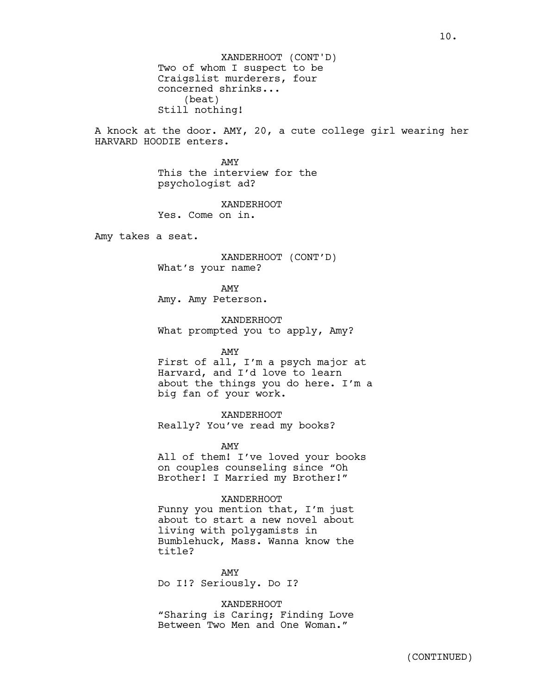Two of whom I suspect to be Craigslist murderers, four concerned shrinks... (beat) Still nothing! XANDERHOOT (CONT'D)

A knock at the door. AMY, 20, a cute college girl wearing her HARVARD HOODIE enters.

> AMY This the interview for the psychologist ad?

XANDERHOOT Yes. Come on in.

Amy takes a seat.

XANDERHOOT (CONT'D) What's your name?

AMY Amy. Amy Peterson.

XANDERHOOT What prompted you to apply, Amy?

AMY

First of all, I'm a psych major at Harvard, and I'd love to learn about the things you do here. I'm a big fan of your work.

XANDERHOOT Really? You've read my books?

AMY

All of them! I've loved your books on couples counseling since "Oh Brother! I Married my Brother!"

#### XANDERHOOT

Funny you mention that, I'm just about to start a new novel about living with polygamists in Bumblehuck, Mass. Wanna know the title?

AMY Do I!? Seriously. Do I?

XANDERHOOT "Sharing is Caring; Finding Love Between Two Men and One Woman."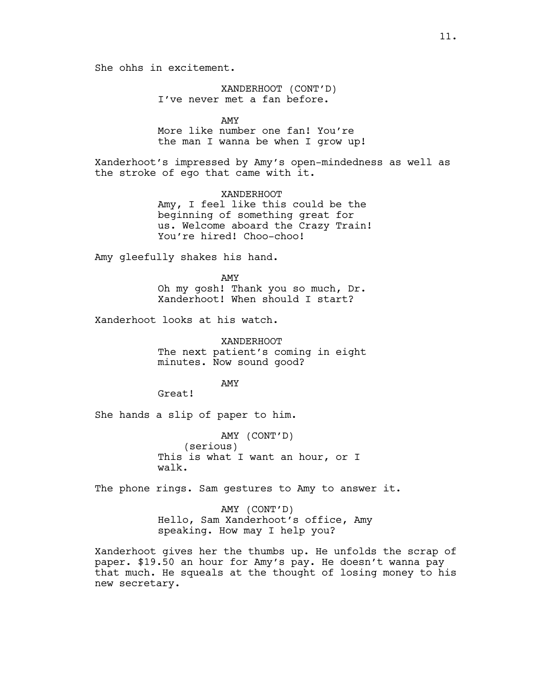She ohhs in excitement.

XANDERHOOT (CONT'D) I've never met a fan before.

AMY

More like number one fan! You're the man I wanna be when I grow up!

Xanderhoot's impressed by Amy's open-mindedness as well as the stroke of ego that came with it.

> XANDERHOOT Amy, I feel like this could be the beginning of something great for us. Welcome aboard the Crazy Train! You're hired! Choo-choo!

Amy gleefully shakes his hand.

AMY Oh my gosh! Thank you so much, Dr. Xanderhoot! When should I start?

Xanderhoot looks at his watch.

XANDERHOOT The next patient's coming in eight minutes. Now sound good?

AMY

Great!

She hands a slip of paper to him.

AMY (CONT'D) (serious) This is what I want an hour, or I walk.

The phone rings. Sam gestures to Amy to answer it.

AMY (CONT'D) Hello, Sam Xanderhoot's office, Amy speaking. How may I help you?

Xanderhoot gives her the thumbs up. He unfolds the scrap of paper. \$19.50 an hour for Amy's pay. He doesn't wanna pay that much. He squeals at the thought of losing money to his new secretary.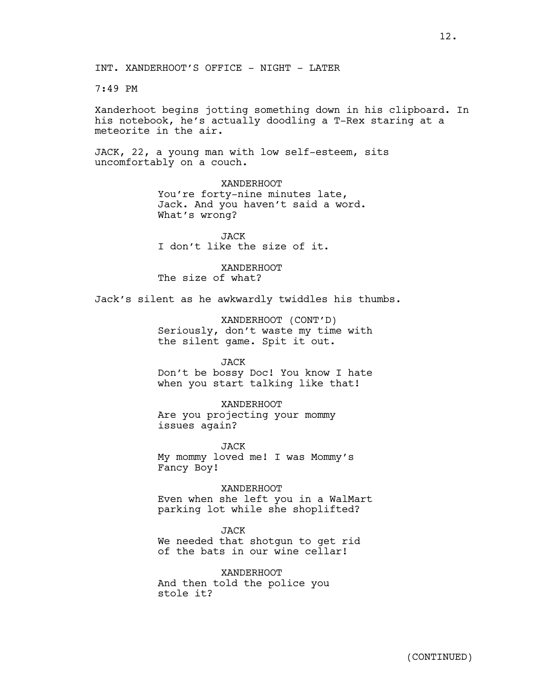INT. XANDERHOOT'S OFFICE - NIGHT - LATER

7:49 PM

Xanderhoot begins jotting something down in his clipboard. In his notebook, he's actually doodling a T-Rex staring at a meteorite in the air.

JACK, 22, a young man with low self-esteem, sits uncomfortably on a couch.

> XANDERHOOT You're forty-nine minutes late, Jack. And you haven't said a word. What's wrong?

JACK I don't like the size of it.

XANDERHOOT The size of what?

Jack's silent as he awkwardly twiddles his thumbs.

XANDERHOOT (CONT'D) Seriously, don't waste my time with the silent game. Spit it out.

JACK

Don't be bossy Doc! You know I hate when you start talking like that!

XANDERHOOT

Are you projecting your mommy issues again?

JACK My mommy loved me! I was Mommy's Fancy Boy!

XANDERHOOT Even when she left you in a WalMart parking lot while she shoplifted?

JACK We needed that shotgun to get rid of the bats in our wine cellar!

XANDERHOOT And then told the police you stole it?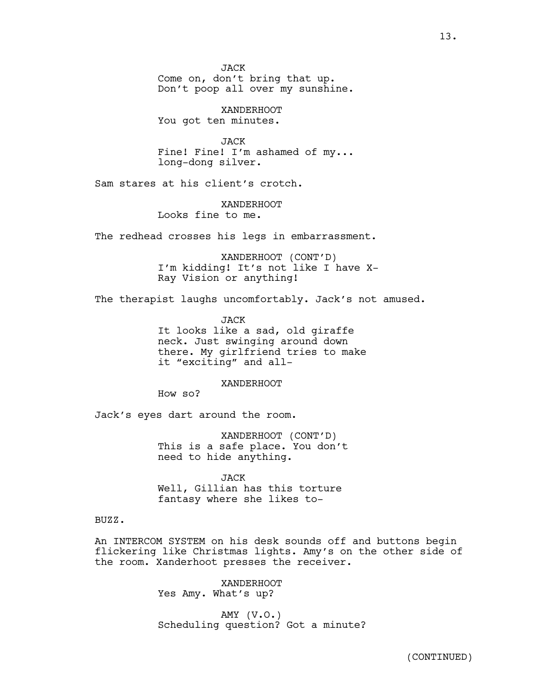JACK Come on, don't bring that up. Don't poop all over my sunshine.

XANDERHOOT You got ten minutes.

JACK Fine! Fine! I'm ashamed of my... long-dong silver.

Sam stares at his client's crotch.

XANDERHOOT Looks fine to me.

The redhead crosses his legs in embarrassment.

XANDERHOOT (CONT'D) I'm kidding! It's not like I have X-Ray Vision or anything!

The therapist laughs uncomfortably. Jack's not amused.

JACK It looks like a sad, old giraffe neck. Just swinging around down there. My girlfriend tries to make it "exciting" and all-

XANDERHOOT

How so?

Jack's eyes dart around the room.

XANDERHOOT (CONT'D) This is a safe place. You don't need to hide anything.

JACK Well, Gillian has this torture fantasy where she likes to-

#### BUZZ.

An INTERCOM SYSTEM on his desk sounds off and buttons begin flickering like Christmas lights. Amy's on the other side of the room. Xanderhoot presses the receiver.

> XANDERHOOT Yes Amy. What's up?

AMY (V.O.) Scheduling question? Got a minute?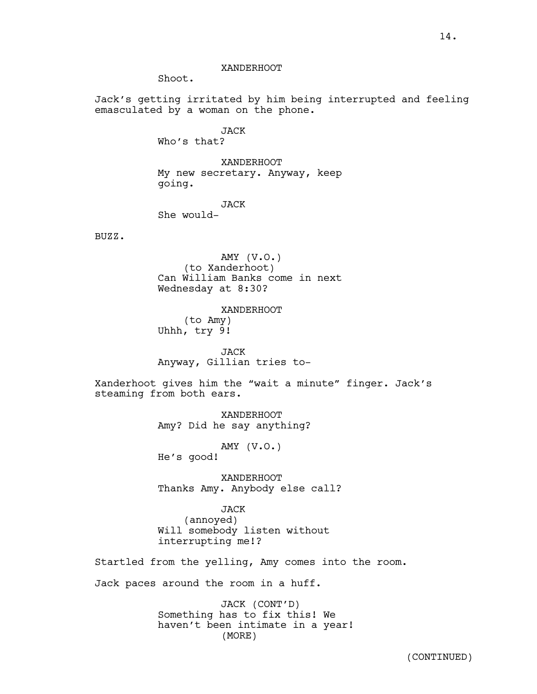#### XANDERHOOT

Shoot.

Jack's getting irritated by him being interrupted and feeling emasculated by a woman on the phone.

> JACK Who's that?

XANDERHOOT My new secretary. Anyway, keep going.

## JACK

She would-

BUZZ.

AMY (V.O.) (to Xanderhoot) Can William Banks come in next Wednesday at 8:30?

XANDERHOOT (to Amy) Uhhh, try 9!

JACK Anyway, Gillian tries to-

Xanderhoot gives him the "wait a minute" finger. Jack's steaming from both ears.

> XANDERHOOT Amy? Did he say anything?

> > AMY (V.O.)

He's good!

XANDERHOOT Thanks Amy. Anybody else call?

# JACK

(annoyed) Will somebody listen without interrupting me!?

Startled from the yelling, Amy comes into the room.

Jack paces around the room in a huff.

JACK (CONT'D) Something has to fix this! We haven't been intimate in a year! (MORE)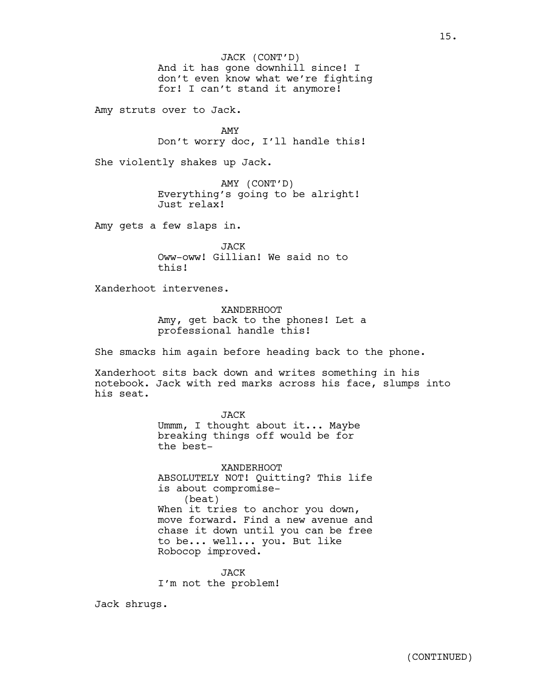And it has gone downhill since! I don't even know what we're fighting for! I can't stand it anymore! JACK (CONT'D)

Amy struts over to Jack.

AMY Don't worry doc, I'll handle this!

She violently shakes up Jack.

AMY (CONT'D) Everything's going to be alright! Just relax!

Amy gets a few slaps in.

JACK Oww-oww! Gillian! We said no to this!

Xanderhoot intervenes.

XANDERHOOT Amy, get back to the phones! Let a professional handle this!

She smacks him again before heading back to the phone.

Xanderhoot sits back down and writes something in his notebook. Jack with red marks across his face, slumps into his seat.

> JACK Ummm, I thought about it... Maybe breaking things off would be for the best-

XANDERHOOT ABSOLUTELY NOT! Quitting? This life is about compromise- (beat) When it tries to anchor you down, move forward. Find a new avenue and chase it down until you can be free to be... well... you. But like Robocop improved.

JACK I'm not the problem!

Jack shrugs.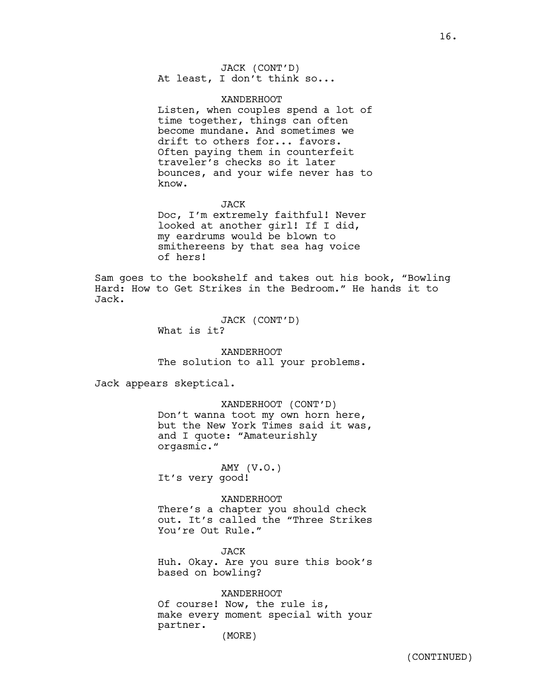JACK (CONT'D) At least, I don't think so...

#### XANDERHOOT

Listen, when couples spend a lot of time together, things can often become mundane. And sometimes we drift to others for... favors. Often paying them in counterfeit traveler's checks so it later bounces, and your wife never has to know.

#### JACK

Doc, I'm extremely faithful! Never looked at another girl! If I did, my eardrums would be blown to smithereens by that sea hag voice of hers!

Sam goes to the bookshelf and takes out his book, "Bowling Hard: How to Get Strikes in the Bedroom." He hands it to Jack.

> JACK (CONT'D) What is it?

XANDERHOOT The solution to all your problems.

Jack appears skeptical.

# XANDERHOOT (CONT'D)

Don't wanna toot my own horn here, but the New York Times said it was, and I quote: "Amateurishly orgasmic."

AMY (V.O.) It's very good!

#### XANDERHOOT

There's a chapter you should check out. It's called the "Three Strikes You're Out Rule."

JACK Huh. Okay. Are you sure this book's based on bowling?

XANDERHOOT Of course! Now, the rule is, make every moment special with your partner. (MORE)

(CONTINUED)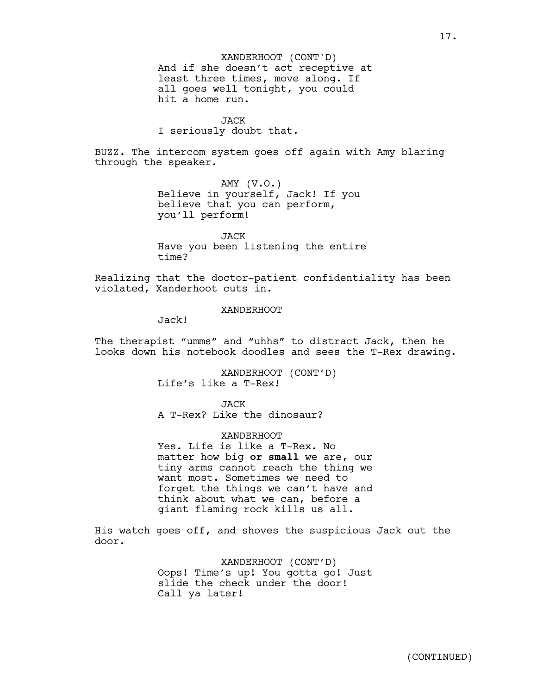And if she doesn't act receptive at least three times, move along. If all goes well tonight, you could hit a home run. XANDERHOOT (CONT'D)

JACK

I seriously doubt that.

BUZZ. The intercom system goes off again with Amy blaring through the speaker.

> AMY  $(V.O.)$ Believe in yourself, Jack! If you believe that you can perform, you'll perform!

JACK Have you been listening the entire time?

Realizing that the doctor-patient confidentiality has been violated, Xanderhoot cuts in.

### XANDERHOOT

Jack!

The therapist "umms" and "uhhs" to distract Jack, then he looks down his notebook doodles and sees the T-Rex drawing.

> XANDERHOOT (CONT'D) Life's like a T-Rex!

JACK A T-Rex? Like the dinosaur?

#### XANDERHOOT

Yes. Life is like a T-Rex. No matter how big **or small** we are, our tiny arms cannot reach the thing we want most. Sometimes we need to forget the things we can't have and think about what we can, before a giant flaming rock kills us all.

His watch goes off, and shoves the suspicious Jack out the door.

> XANDERHOOT (CONT'D) Oops! Time's up! You gotta go! Just slide the check under the door! Call ya later!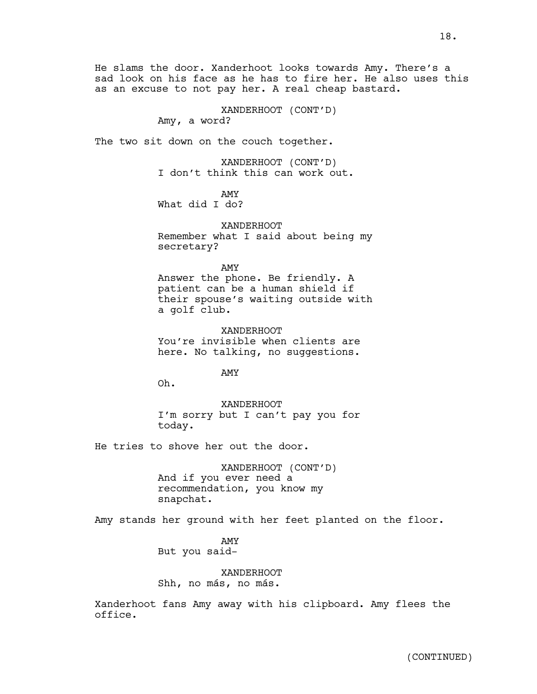18.

sad look on his face as he has to fire her. He also uses this as an excuse to not pay her. A real cheap bastard.

XANDERHOOT (CONT'D)

Amy, a word?

The two sit down on the couch together.

XANDERHOOT (CONT'D) I don't think this can work out.

AMY

What did I do?

XANDERHOOT Remember what I said about being my secretary?

AMY Answer the phone. Be friendly. A patient can be a human shield if

their spouse's waiting outside with a golf club.

XANDERHOOT You're invisible when clients are here. No talking, no suggestions.

AMY

Oh.

XANDERHOOT I'm sorry but I can't pay you for today.

He tries to shove her out the door.

XANDERHOOT (CONT'D) And if you ever need a recommendation, you know my snapchat.

Amy stands her ground with her feet planted on the floor.

AMY But you said-

XANDERHOOT Shh, no más, no más.

Xanderhoot fans Amy away with his clipboard. Amy flees the office.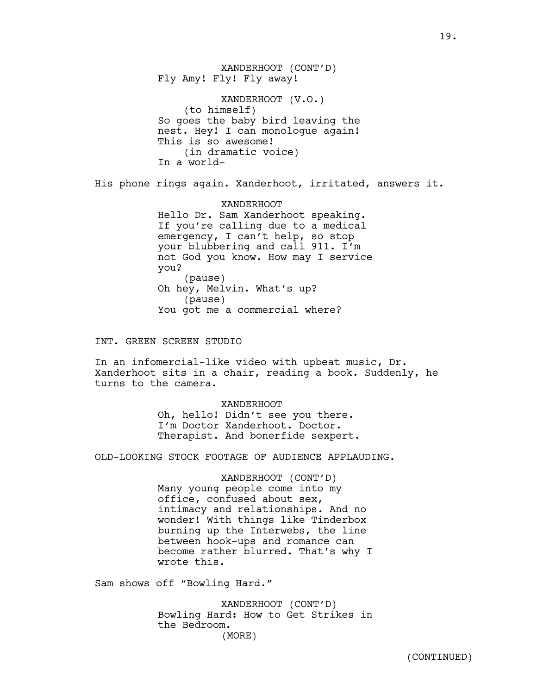XANDERHOOT (CONT'D) Fly Amy! Fly! Fly away! XANDERHOOT (V.O.) (to himself) So goes the baby bird leaving the nest. Hey! I can monologue again! This is so awesome! (in dramatic voice) In a world-

His phone rings again. Xanderhoot, irritated, answers it.

XANDERHOOT Hello Dr. Sam Xanderhoot speaking. If you're calling due to a medical emergency, I can't help, so stop your blubbering and call 911. I'm not God you know. How may I service you? (pause) Oh hey, Melvin. What's up? (pause) You got me a commercial where?

INT. GREEN SCREEN STUDIO

In an infomercial-like video with upbeat music, Dr. Xanderhoot sits in a chair, reading a book. Suddenly, he turns to the camera.

XANDERHOOT

Oh, hello! Didn't see you there. I'm Doctor Xanderhoot. Doctor. Therapist. And bonerfide sexpert.

OLD-LOOKING STOCK FOOTAGE OF AUDIENCE APPLAUDING.

XANDERHOOT (CONT'D) Many young people come into my office, confused about sex, intimacy and relationships. And no wonder! With things like Tinderbox burning up the Interwebs, the line between hook-ups and romance can become rather blurred. That's why I wrote this.

Sam shows off "Bowling Hard."

XANDERHOOT (CONT'D) Bowling Hard: How to Get Strikes in the Bedroom. (MORE)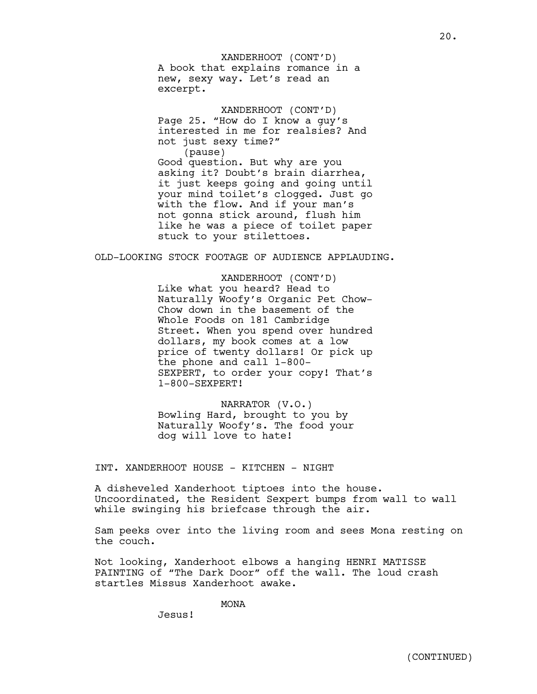A book that explains romance in a new, sexy way. Let's read an excerpt. XANDERHOOT (CONT'D)

XANDERHOOT (CONT'D) Page 25. "How do I know a guy's interested in me for realsies? And not just sexy time?" (pause) Good question. But why are you asking it? Doubt's brain diarrhea, it just keeps going and going until your mind toilet's clogged. Just go with the flow. And if your man's not gonna stick around, flush him like he was a piece of toilet paper stuck to your stilettoes.

OLD-LOOKING STOCK FOOTAGE OF AUDIENCE APPLAUDING.

XANDERHOOT (CONT'D) Like what you heard? Head to Naturally Woofy's Organic Pet Chow-Chow down in the basement of the Whole Foods on 181 Cambridge Street. When you spend over hundred dollars, my book comes at a low price of twenty dollars! Or pick up the phone and call 1-800- SEXPERT, to order your copy! That's 1-800-SEXPERT!

NARRATOR (V.O.) Bowling Hard, brought to you by Naturally Woofy's. The food your dog will love to hate!

INT. XANDERHOOT HOUSE - KITCHEN - NIGHT

A disheveled Xanderhoot tiptoes into the house. Uncoordinated, the Resident Sexpert bumps from wall to wall while swinging his briefcase through the air.

Sam peeks over into the living room and sees Mona resting on the couch.

Not looking, Xanderhoot elbows a hanging HENRI MATISSE PAINTING of "The Dark Door" off the wall. The loud crash startles Missus Xanderhoot awake.

MONA

Jesus!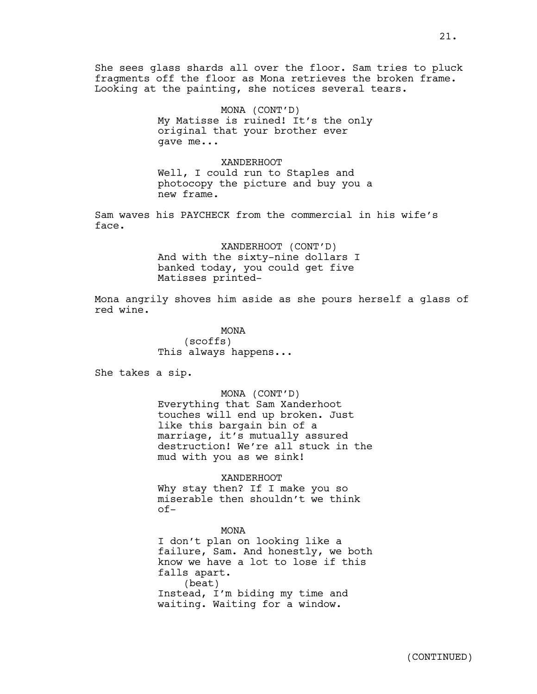She sees glass shards all over the floor. Sam tries to pluck fragments off the floor as Mona retrieves the broken frame. Looking at the painting, she notices several tears.

> MONA (CONT'D) My Matisse is ruined! It's the only original that your brother ever gave me...

> XANDERHOOT Well, I could run to Staples and photocopy the picture and buy you a new frame.

Sam waves his PAYCHECK from the commercial in his wife's face.

> XANDERHOOT (CONT'D) And with the sixty-nine dollars I banked today, you could get five Matisses printed-

Mona angrily shoves him aside as she pours herself a glass of red wine.

> MONA (scoffs) This always happens...

She takes a sip.

MONA (CONT'D) Everything that Sam Xanderhoot touches will end up broken. Just like this bargain bin of a marriage, it's mutually assured destruction! We're all stuck in the mud with you as we sink!

#### XANDERHOOT

Why stay then? If I make you so miserable then shouldn't we think of-

MONA I don't plan on looking like a failure, Sam. And honestly, we both know we have a lot to lose if this falls apart. (beat) Instead, I'm biding my time and waiting. Waiting for a window.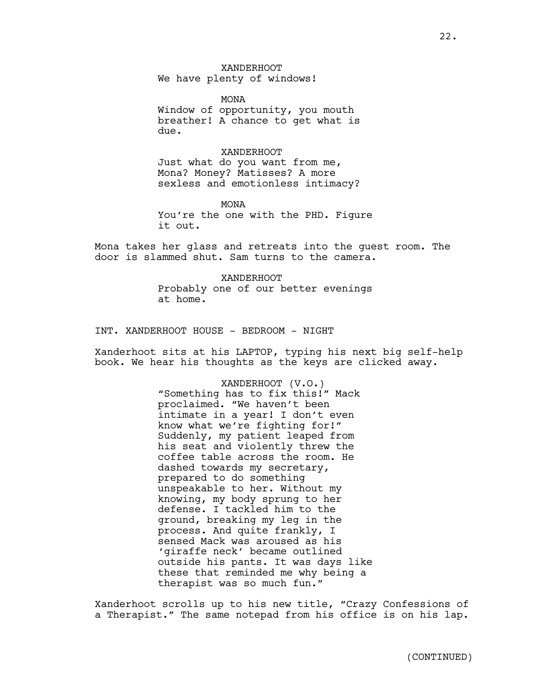XANDERHOOT We have plenty of windows!

MONA Window of opportunity, you mouth breather! A chance to get what is due.

#### XANDERHOOT

Just what do you want from me, Mona? Money? Matisses? A more sexless and emotionless intimacy?

MONA You're the one with the PHD. Figure it out.

Mona takes her glass and retreats into the guest room. The door is slammed shut. Sam turns to the camera.

> XANDERHOOT Probably one of our better evenings at home.

INT. XANDERHOOT HOUSE - BEDROOM - NIGHT

Xanderhoot sits at his LAPTOP, typing his next big self-help book. We hear his thoughts as the keys are clicked away.

> XANDERHOOT (V.O.) "Something has to fix this!" Mack proclaimed. "We haven't been intimate in a year! I don't even know what we're fighting for!" Suddenly, my patient leaped from his seat and violently threw the coffee table across the room. He dashed towards my secretary, prepared to do something unspeakable to her. Without my knowing, my body sprung to her defense. I tackled him to the ground, breaking my leg in the process. And quite frankly, I sensed Mack was aroused as his 'giraffe neck' became outlined outside his pants. It was days like these that reminded me why being a therapist was so much fun."

Xanderhoot scrolls up to his new title, "Crazy Confessions of a Therapist." The same notepad from his office is on his lap.